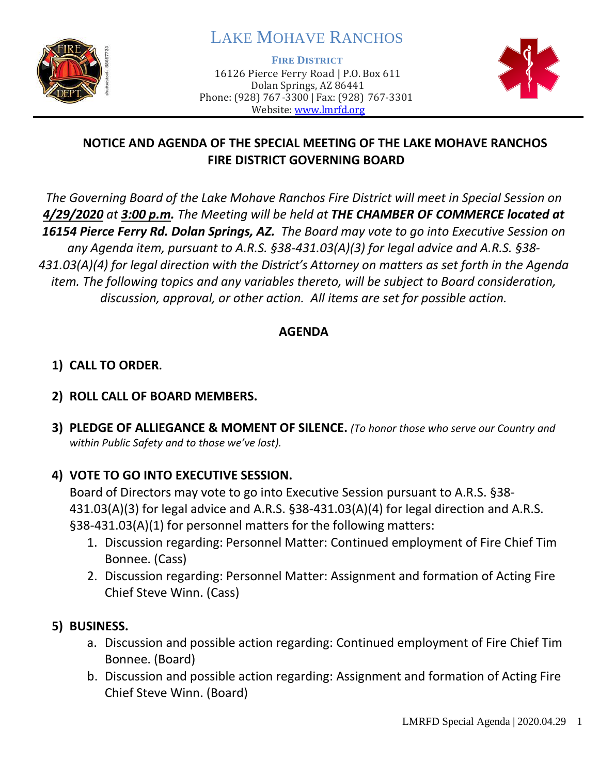

# LAKE MOHAVE RANCHOS

**FIRE DISTRICT**

16126 Pierce Ferry Road | P.O. Box 611 Dolan Springs, AZ 86441 Phone: (928) 767-3300 | Fax: (928) 767-3301 Website: [www.lmrfd.org](http://www.lmrfd.org/)



## **NOTICE AND AGENDA OF THE SPECIAL MEETING OF THE LAKE MOHAVE RANCHOS FIRE DISTRICT GOVERNING BOARD**

*The Governing Board of the Lake Mohave Ranchos Fire District will meet in Special Session on 4/29/2020 at 3:00 p.m. The Meeting will be held at THE CHAMBER OF COMMERCE located at 16154 Pierce Ferry Rd. Dolan Springs, AZ. The Board may vote to go into Executive Session on any Agenda item, pursuant to A.R.S. §38-431.03(A)(3) for legal advice and A.R.S. §38- 431.03(A)(4) for legal direction with the District's Attorney on matters as set forth in the Agenda item. The following topics and any variables thereto, will be subject to Board consideration, discussion, approval, or other action. All items are set for possible action.* 

### **AGENDA**

# **1) CALL TO ORDER.**

## **2) ROLL CALL OF BOARD MEMBERS.**

**3) PLEDGE OF ALLIEGANCE & MOMENT OF SILENCE.** *(To honor those who serve our Country and within Public Safety and to those we've lost).*

## **4) VOTE TO GO INTO EXECUTIVE SESSION.**

Board of Directors may vote to go into Executive Session pursuant to A.R.S. §38- 431.03(A)(3) for legal advice and A.R.S. §38-431.03(A)(4) for legal direction and A.R.S. §38-431.03(A)(1) for personnel matters for the following matters:

- 1. Discussion regarding: Personnel Matter: Continued employment of Fire Chief Tim Bonnee. (Cass)
- 2. Discussion regarding: Personnel Matter: Assignment and formation of Acting Fire Chief Steve Winn. (Cass)

### **5) BUSINESS.**

- a. Discussion and possible action regarding: Continued employment of Fire Chief Tim Bonnee. (Board)
- b. Discussion and possible action regarding: Assignment and formation of Acting Fire Chief Steve Winn. (Board)